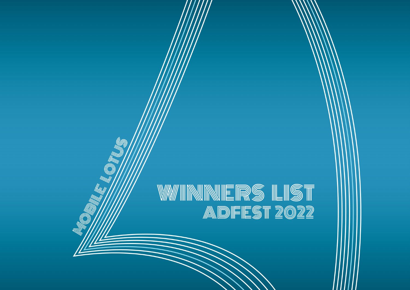# WINNNERS LIST<br>Adfest 2022

NEW OFFICE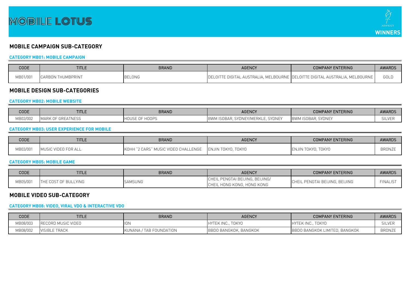

# **MOBILE CAMPAIGN SUB-CATEGORY**

## **CATEGORY MB01: MOBILE CAMPAIGN**

| CODE     | <b>TITLE</b>                                       | <b>BRAND</b>  | <b>AGENCY</b>                            | <b>COMPANY ENTERING</b>             | <b>AWARDS</b> |
|----------|----------------------------------------------------|---------------|------------------------------------------|-------------------------------------|---------------|
| MB01/001 | <b>RBON THUMBPRINT</b><br><b>CARB</b> <sup>1</sup> | <b>BELONG</b> | LOITTE DIGITAL AUSTRALIA, MELBOURNE  DEL | LOITTE DIGITAL AUSTRALIA, MELBOURNE | GOLD          |

## **MOBILE DESIGN SUB-CATEGORIES**

#### **CATEGORY MB02: MOBILE WEBSITE**

| CODE     | <b>TITLE</b>               | <b>BRAND</b>             | <b>AGENCY</b>                                                       | <b>COMPANY ENTERING</b>                          | <b>AWARDS</b> |
|----------|----------------------------|--------------------------|---------------------------------------------------------------------|--------------------------------------------------|---------------|
| MB02/00∠ | INESS<br>MARK<br>JF 555FAI | -<br>- ۱USE<br>1 I V V I | $V \cap N \cap T'$<br>1ERKLE.<br>BWM ISOBAR, SYDNEY/MEF<br>. SYDNE. | CVONE<br>. ISOBAF<br><b>BWM</b><br><b>SYLINE</b> | ᅴᄂັ           |

## **CATEGORY MB03: USER EXPERIENCE FOR MOBILE**

| CODE     | <b>TITLE</b>        | <b>BRAND</b>                            | <b>AGENCY</b>           | <b>COMPANY ENTERING</b> | <b>AWARDS</b> |
|----------|---------------------|-----------------------------------------|-------------------------|-------------------------|---------------|
| MB03/001 | MUSIC VIDEO FOR ALL | " MUSIC VIDEO CHALLENGE<br>CARS"<br>IKO | . TOKYO<br>ENJIN TOKYO. | ENJIN TOKYO, TOKYO      | <b>BRONZE</b> |

#### **CATEGORY MB05: MOBILE GAME**

| CODE     | <b>TITLE</b>                   | <b>BRAND</b> | <b>AGENCY</b>                                         | <b>COMPANY ENTERING</b>    | <b>AWARDS</b>   |
|----------|--------------------------------|--------------|-------------------------------------------------------|----------------------------|-----------------|
| 4B05/001 | COST OF BULLYING<br><b>THE</b> | SAMSUNG      | . PENGTAI BEIJING, BEIJING/<br>. HONG KONG, HONG KONG | L PENGTAI BEIJING. BEIJING | <b>FINALIST</b> |

## **MOBILE VIDEO SUB-CATEGORY**

## **CATEGORY MB08: VIDEO, VIRAL VDO & INTERACTIVE VDO**

| CODE     | <b>TITLE</b>              | <b>BRAND</b>            | <b>AGENCY</b>               | <b>COMPANY ENTERING</b>              | <b>AWARDS</b> |
|----------|---------------------------|-------------------------|-----------------------------|--------------------------------------|---------------|
| MB08/003 | <b>RECORD MUSIC VIDEO</b> | $\overline{10N}$        | <b>TOKYO</b><br>IHYTEK INC  | токүо<br>FEK INC.                    | SILVE         |
| MB08/002 | <b>VISIBLE TRACK</b>      | KUNANA / TAB FOUNDATION | BANGKOK, BANGKOK<br>- IBBDU | <b>BBDO BANGKOK LIMITED, BANGKOK</b> | <b>BRONZE</b> |